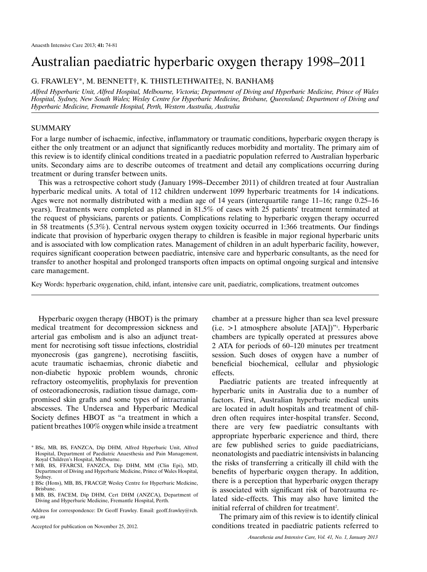# Australian paediatric hyperbaric oxygen therapy 1998–2011

G. Frawley\*, M. Bennett†, K. Thistlethwaite‡, N. Banham§

*Alfred Hyperbaric Unit, Alfred Hospital, Melbourne, Victoria; Department of Diving and Hyperbaric Medicine, Prince of Wales Hospital, Sydney, New South Wales; Wesley Centre for Hyperbaric Medicine, Brisbane, Queensland; Department of Diving and Hyperbaric Medicine, Fremantle Hospital, Perth, Western Australia, Australia*

# **SUMMARY**

For a large number of ischaemic, infective, inflammatory or traumatic conditions, hyperbaric oxygen therapy is either the only treatment or an adjunct that significantly reduces morbidity and mortality. The primary aim of this review is to identify clinical conditions treated in a paediatric population referred to Australian hyperbaric units. Secondary aims are to describe outcomes of treatment and detail any complications occurring during treatment or during transfer between units.

This was a retrospective cohort study (January 1998–December 2011) of children treated at four Australian hyperbaric medical units. A total of 112 children underwent 1099 hyperbaric treatments for 14 indications. Ages were not normally distributed with a median age of 14 years (interquartile range 11–16; range 0.25–16 years). Treatments were completed as planned in 81.5% of cases with 25 patients' treatment terminated at the request of physicians, parents or patients. Complications relating to hyperbaric oxygen therapy occurred in 58 treatments (5.3%). Central nervous system oxygen toxicity occurred in 1:366 treatments. Our findings indicate that provision of hyperbaric oxygen therapy to children is feasible in major regional hyperbaric units and is associated with low complication rates. Management of children in an adult hyperbaric facility, however, requires significant cooperation between paediatric, intensive care and hyperbaric consultants, as the need for transfer to another hospital and prolonged transports often impacts on optimal ongoing surgical and intensive care management.

Key Words: hyperbaric oxygenation, child, infant, intensive care unit, paediatric, complications, treatment outcomes

Hyperbaric oxygen therapy (HBOT) is the primary medical treatment for decompression sickness and arterial gas embolism and is also an adjunct treatment for necrotising soft tissue infections, clostridial myonecrosis (gas gangrene), necrotising fasciitis, acute traumatic ischaemias, chronic diabetic and non-diabetic hypoxic problem wounds, chronic refractory osteomyelitis, prophylaxis for prevention of osteoradionecrosis, radiation tissue damage, compromised skin grafts and some types of intracranial abscesses. The Undersea and Hyperbaric Medical Society defines HBOT as "a treatment in which a patient breathes 100% oxygen while inside a treatment

Accepted for publication on November 25, 2012.

chamber at a pressure higher than sea level pressure  $(i.e. > 1$  atmosphere absolute  $[ATA]$ <sup>"1</sup>. Hyperbaric chambers are typically operated at pressures above 2 ATA for periods of 60–120 minutes per treatment session. Such doses of oxygen have a number of beneficial biochemical, cellular and physiologic effects.

Paediatric patients are treated infrequently at hyperbaric units in Australia due to a number of factors. First, Australian hyperbaric medical units are located in adult hospitals and treatment of children often requires inter-hospital transfer. Second, there are very few paediatric consultants with appropriate hyperbaric experience and third, there are few published series to guide paediatricians, neonatologists and paediatric intensivists in balancing the risks of transferring a critically ill child with the benefits of hyperbaric oxygen therapy. In addition, there is a perception that hyperbaric oxygen therapy is associated with significant risk of barotrauma related side-effects. This may also have limited the initial referral of children for treatment<sup>2</sup>.

The primary aim of this review is to identify clinical conditions treated in paediatric patients referred to

<sup>\*</sup> BSc, MB, BS, FANZCA, Dip DHM, Alfred Hyperbaric Unit, Alfred Hospital, Department of Paediatric Anaesthesia and Pain Management, Royal Children's Hospital, Melbourne.

<sup>†</sup> MB, BS, FFARCSI, FANZCA, Dip DHM, MM (Clin Epi), MD, Department of Diving and Hyperbaric Medicine, Prince of Wales Hospital, Sydney.

<sup>‡</sup> BSc (Hons), MB, BS, FRACGP, Wesley Centre for Hyperbaric Medicine, Brisbane.

<sup>§</sup> MB, BS, FACEM, Dip DHM, Cert DHM (ANZCA), Department of Diving and Hyperbaric Medicine, Fremantle Hospital, Perth.

Address for correspondence: Dr Geoff Frawley. Email: geoff.frawley@rch. org.au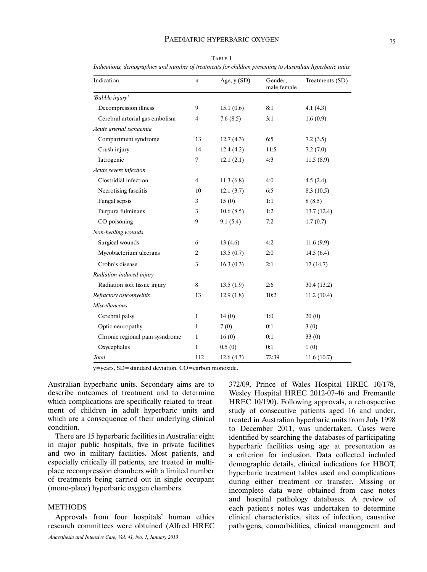## PAEDIATRIC HYPERBARIC OXYGEN 75

| Indication                      | n              | Age, $y(SD)$ | Gender,<br>male:female | Treatments (SD) |
|---------------------------------|----------------|--------------|------------------------|-----------------|
| 'Bubble injury'                 |                |              |                        |                 |
| Decompression illness           | 9              | 15.1(0.6)    | 8:1                    | 4.1(4.3)        |
| Cerebral arterial gas embolism  | $\overline{4}$ | 7.6(8.5)     | 3:1                    | 1.6(0.9)        |
| Acute arterial ischaemia        |                |              |                        |                 |
| Compartment syndrome            | 13             | 12.7(4.3)    | 6:5                    | 7.2(3.5)        |
| Crush injury                    | 14             | 12.4(4.2)    | 11:5                   | 7.2(7.0)        |
| Iatrogenic                      | $\overline{7}$ | 12.1(2.1)    | 4:3                    | 11.5(8.9)       |
| Acute severe infection          |                |              |                        |                 |
| Clostridial infection           | $\overline{4}$ | 11.3(6.8)    | 4:0                    | 4.5(2.4)        |
| Necrotising fasciitis           | 10             | 12.1(3.7)    | 6:5                    | 8.3(10.5)       |
| Fungal sepsis                   | 3              | 15(0)        | 1:1                    | 8(8.5)          |
| Purpura fulminans               | 3              | 10.6(8.5)    | 1:2                    | 13.7(12.4)      |
| CO poisoning                    | 9              | 9.1(5.4)     | 7:2                    | 1.7(0.7)        |
| Non-healing wounds              |                |              |                        |                 |
| Surgical wounds                 | 6              | 13(4.6)      | 4:2                    | 11.6(9.9)       |
| Mycobacterium ulcerans          | 2              | 13.5(0.7)    | 2:0                    | 14.5(6.4)       |
| Crohn's disease                 | 3              | 16.3(0.3)    | 2:1                    | 17(14.7)        |
| Radiation-induced injury        |                |              |                        |                 |
| Radiation soft tissue injury    | 8              | 13.5(1.9)    | 2:6                    | 30.4(13.2)      |
| Refractory osteomyelitis        | 13             | 12.9(1.8)    | 10:2                   | 11.2(10.4)      |
| Miscellaneous                   |                |              |                        |                 |
| Cerebral palsy                  | $\mathbf{1}$   | 14(0)        | 1:0                    | 20(0)           |
| Optic neuropathy                | $\mathbf{1}$   | 7(0)         | 0:1                    | 3(0)            |
| Chronic regional pain sysndrome | $\mathbf{1}$   | 16(0)        | 0:1                    | 33(0)           |
| Oxycephalus                     | $\mathbf{1}$   | 0.5(0)       | 0:1                    | 1(0)            |
| Total                           | 112            | 12.6(4.3)    | 72:39                  | 11.6(10.7)      |

TABLE 1 *Indications, demographics and number of treatments for children presenting to Australian hyperbaric units*

y=years, SD=standard deviation, CO=carbon monoxide.

Australian hyperbaric units. Secondary aims are to describe outcomes of treatment and to determine which complications are specifically related to treatment of children in adult hyperbaric units and which are a consequence of their underlying clinical condition.

There are 15 hyperbaric facilities in Australia: eight in major public hospitals, five in private facilities and two in military facilities. Most patients, and especially critically ill patients, are treated in multiplace recompression chambers with a limited number of treatments being carried out in single occupant (mono-place) hyperbaric oxygen chambers.

## METHODS

Approvals from four hospitals' human ethics research committees were obtained (Alfred HREC

372/09, Prince of Wales Hospital HREC 10/178, Wesley Hospital HREC 2012-07-46 and Fremantle HREC 10/190). Following approvals, a retrospective study of consecutive patients aged 16 and under, treated in Australian hyperbaric units from July 1998 to December 2011, was undertaken. Cases were identified by searching the databases of participating hyperbaric facilities using age at presentation as a criterion for inclusion. Data collected included demographic details, clinical indications for HBOT, hyperbaric treatment tables used and complications during either treatment or transfer. Missing or incomplete data were obtained from case notes and hospital pathology databases. A review of each patient's notes was undertaken to determine clinical characteristics, sites of infection, causative pathogens, comorbidities, clinical management and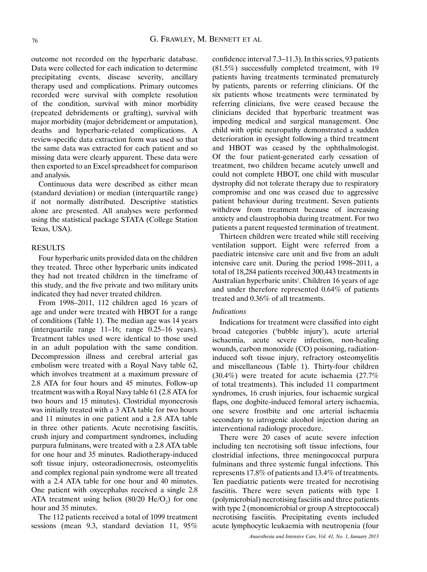outcome not recorded on the hyperbaric database. Data were collected for each indication to determine precipitating events, disease severity, ancillary therapy used and complications. Primary outcomes recorded were survival with complete resolution of the condition, survival with minor morbidity (repeated debridements or grafting), survival with major morbidity (major debridement or amputation), deaths and hyperbaric-related complications. A review-specific data extraction form was used so that the same data was extracted for each patient and so missing data were clearly apparent. These data were then exported to an Excel spreadsheet for comparison and analysis.

Continuous data were described as either mean (standard deviation) or median (interquartile range) if not normally distributed. Descriptive statistics alone are presented. All analyses were performed using the statistical package STATA (College Station Texas, USA).

#### **RESULTS**

Four hyperbaric units provided data on the children they treated. Three other hyperbaric units indicated they had not treated children in the timeframe of this study, and the five private and two military units indicated they had never treated children.

From 1998–2011, 112 children aged 16 years of age and under were treated with HBOT for a range of conditions (Table 1). The median age was 14 years (interquartile range 11–16; range 0.25–16 years). Treatment tables used were identical to those used in an adult population with the same condition. Decompression illness and cerebral arterial gas embolism were treated with a Royal Navy table 62, which involves treatment at a maximum pressure of 2.8 ATA for four hours and 45 minutes. Follow-up treatment was with a Royal Navy table 61 (2.8 ATA for two hours and 15 minutes). Clostridial myonecrosis was initially treated with a 3 ATA table for two hours and 11 minutes in one patient and a 2.8 ATA table in three other patients. Acute necrotising fasciitis, crush injury and compartment syndromes, including purpura fulminans, were treated with a 2.8 ATA table for one hour and 35 minutes. Radiotherapy-induced soft tissue injury, osteoradionecrosis, osteomyelitis and complex regional pain syndrome were all treated with a 2.4 ATA table for one hour and 40 minutes. One patient with oxycephalus received a single 2.8 ATA treatment using heliox  $(80/20 \text{ He/O}_2)$  for one hour and 35 minutes.

The 112 patients received a total of 1099 treatment sessions (mean 9.3, standard deviation 11, 95%

confidence interval 7.3–11.3). In this series, 93 patients (81.5%) successfully completed treatment, with 19 patients having treatments terminated prematurely by patients, parents or referring clinicians. Of the six patients whose treatments were terminated by referring clinicians, five were ceased because the clinicians decided that hyperbaric treatment was impeding medical and surgical management. One child with optic neuropathy demonstrated a sudden deterioration in eyesight following a third treatment and HBOT was ceased by the ophthalmologist. Of the four patient-generated early cessation of treatment, two children became acutely unwell and could not complete HBOT, one child with muscular dystrophy did not tolerate therapy due to respiratory compromise and one was ceased due to aggressive patient behaviour during treatment. Seven patients withdrew from treatment because of increasing anxiety and claustrophobia during treatment. For two patients a parent requested termination of treatment.

Thirteen children were treated while still receiving ventilation support. Eight were referred from a paediatric intensive care unit and five from an adult intensive care unit. During the period 1998–2011, a total of 18,284 patients received 300,443 treatments in Australian hyperbaric units<sup>3</sup>. Children 16 years of age and under therefore represented 0.64% of patients treated and 0.36% of all treatments.

# *Indications*

Indications for treatment were classified into eight broad categories ('bubble injury'), acute arterial ischaemia, acute severe infection, non-healing wounds, carbon monoxide (CO) poisoning, radiationinduced soft tissue injury, refractory osteomyelitis and miscellaneous (Table 1). Thirty-four children (30.4%) were treated for acute ischaemia (27.7% of total treatments). This included 11 compartment syndromes, 16 crush injuries, four ischaemic surgical flaps, one dogbite-induced femoral artery ischaemia, one severe frostbite and one arterial ischaemia secondary to iatrogenic alcohol injection during an interventional radiology procedure.

There were 20 cases of acute severe infection including ten necrotising soft tissue infections, four clostridial infections, three meningococcal purpura fulminans and three systemic fungal infections. This represents 17.8% of patients and 13.4% of treatments. Ten paediatric patients were treated for necrotising fasciitis. There were seven patients with type 1 (polymicrobial) necrotising fasciitis and three patients with type 2 (monomicrobial or group A streptococcal) necrotising fasciitis. Precipitating events included acute lymphocytic leukaemia with neutropenia (four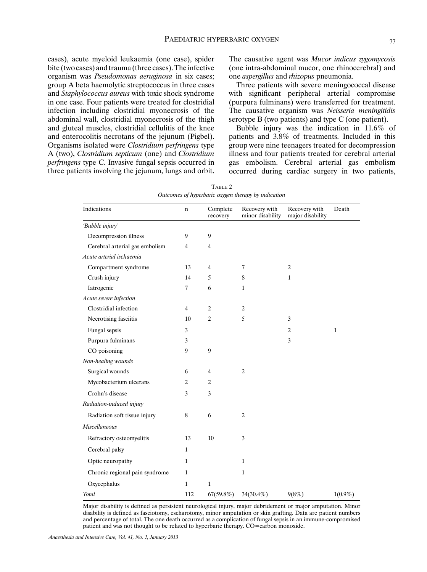cases), acute myeloid leukaemia (one case), spider bite (two cases) and trauma (three cases). The infective organism was *Pseudomonas aeruginosa* in six cases; group A beta haemolytic streptococcus in three cases and *Staphylococcus aureus* with toxic shock syndrome in one case. Four patients were treated for clostridial infection including clostridial myonecrosis of the abdominal wall, clostridial myonecrosis of the thigh and gluteal muscles, clostridial cellulitis of the knee and enterocolitis necrotans of the jejunum (Pigbel). Organisms isolated were *Clostridium perfringens* type A (two), *Clostridium septicum* (one) and *Clostridium perfringens* type C. Invasive fungal sepsis occurred in three patients involving the jejunum, lungs and orbit. The causative agent was *Mucor indicus zygomycosis*  (one intra-abdominal mucor, one rhinocerebral) and one *aspergillus* and *rhizopus* pneumonia.

Three patients with severe meningococcal disease with significant peripheral arterial compromise (purpura fulminans) were transferred for treatment. The causative organism was *Neisseria meningitidis* serotype B (two patients) and type C (one patient).

Bubble injury was the indication in 11.6% of patients and 3.8% of treatments. Included in this group were nine teenagers treated for decompression illness and four patients treated for cerebral arterial gas embolism. Cerebral arterial gas embolism occurred during cardiac surgery in two patients,

| Indications                    | n              | Complete<br>recovery | Recovery with<br>minor disability | Recovery with<br>major disability | Death        |
|--------------------------------|----------------|----------------------|-----------------------------------|-----------------------------------|--------------|
| 'Bubble injury'                |                |                      |                                   |                                   |              |
| Decompression illness          | 9              | 9                    |                                   |                                   |              |
| Cerebral arterial gas embolism | $\overline{4}$ | $\overline{4}$       |                                   |                                   |              |
| Acute arterial ischaemia       |                |                      |                                   |                                   |              |
| Compartment syndrome           | 13             | 4                    | $\overline{7}$                    | $\overline{c}$                    |              |
| Crush injury                   | 14             | 5                    | 8                                 | 1                                 |              |
| Iatrogenic                     | 7              | 6                    | $\mathbf{1}$                      |                                   |              |
| Acute severe infection         |                |                      |                                   |                                   |              |
| Clostridial infection          | $\overline{4}$ | 2                    | $\overline{2}$                    |                                   |              |
| Necrotising fasciitis          | 10             | $\overline{2}$       | 5                                 | 3                                 |              |
| Fungal sepsis                  | 3              |                      |                                   | 2                                 | $\mathbf{1}$ |
| Purpura fulminans              | 3              |                      |                                   | 3                                 |              |
| CO poisoning                   | 9              | 9                    |                                   |                                   |              |
| Non-healing wounds             |                |                      |                                   |                                   |              |
| Surgical wounds                | 6              | 4                    | $\overline{2}$                    |                                   |              |
| Mycobacterium ulcerans         | $\overline{2}$ | $\overline{c}$       |                                   |                                   |              |
| Crohn's disease                | 3              | 3                    |                                   |                                   |              |
| Radiation-induced injury       |                |                      |                                   |                                   |              |
| Radiation soft tissue injury   | 8              | 6                    | $\overline{2}$                    |                                   |              |
| <b>Miscellaneous</b>           |                |                      |                                   |                                   |              |
| Refractory osteomyelitis       | 13             | 10                   | 3                                 |                                   |              |
| Cerebral palsy                 | $\mathbf{1}$   |                      |                                   |                                   |              |
| Optic neuropathy               | $\mathbf{1}$   |                      | $\mathbf{1}$                      |                                   |              |
| Chronic regional pain syndrome | $\mathbf{1}$   |                      | $\mathbf{1}$                      |                                   |              |
| Oxycephalus                    | 1              | $\mathbf{1}$         |                                   |                                   |              |
| Total                          | 112            | $67(59.8\%)$         | $34(30.4\%)$                      | 9(8%)                             | $1(0.9\%)$   |

Table 2 *Outcomes of hyperbaric oxygen therapy by indicational Cutcomes of hyperbaric oxygen therapy by indication* 

Major disability is defined as persistent neurological injury, major debridement or major amputation. Minor disability is defined as fasciotomy, escharotomy, minor amputation or skin grafting. Data are patient numbers and percentage of total. The one death occurred as a complication of fungal sepsis in an immune-compromised patient and was not thought to be related to hyperbaric therapy. CO=carbon monoxide.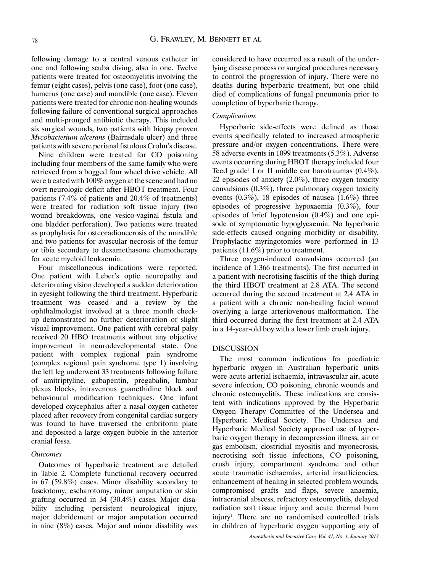following damage to a central venous catheter in one and following scuba diving, also in one. Twelve patients were treated for osteomyelitis involving the femur (eight cases), pelvis (one case), foot (one case), humerus (one case) and mandible (one case). Eleven patients were treated for chronic non-healing wounds following failure of conventional surgical approaches and multi-pronged antibiotic therapy. This included six surgical wounds, two patients with biopsy proven *Mycobacterium ulcerans* (Bairnsdale ulcer) and three patients with severe perianal fistulous Crohn's disease.

Nine children were treated for CO poisoning including four members of the same family who were retrieved from a bogged four wheel drive vehicle. All were treated with 100% oxygen at the scene and had no overt neurologic deficit after HBOT treatment. Four patients (7.4% of patients and 20.4% of treatments) were treated for radiation soft tissue injury (two wound breakdowns, one vesico-vaginal fistula and one bladder perforation). Two patients were treated as prophylaxis for osteoradionecrosis of the mandible and two patients for avascular necrosis of the femur or tibia secondary to dexamethasone chemotherapy for acute myeloid leukaemia.

Four miscellaneous indications were reported. One patient with Leber's optic neuropathy and deteriorating vision developed a sudden deterioration in eyesight following the third treatment. Hyperbaric treatment was ceased and a review by the ophthalmologist involved at a three month checkup demonstrated no further deterioration or slight visual improvement. One patient with cerebral palsy received 20 HBO treatments without any objective improvement in neurodevelopmental state. One patient with complex regional pain syndrome (complex regional pain syndrome type 1) involving the left leg underwent 33 treatments following failure of amitriptyline, gabapentin, pregabalin, lumbar plexus blocks, intravenous guanethidine block and behavioural modification techniques. One infant developed oxycephalus after a nasal oxygen catheter placed after recovery from congenital cardiac surgery was found to have traversed the cribriform plate and deposited a large oxygen bubble in the anterior cranial fossa.

## *Outcomes*

Outcomes of hyperbaric treatment are detailed in Table 2. Complete functional recovery occurred in 67 (59.8%) cases. Minor disability secondary to fasciotomy, escharotomy, minor amputation or skin grafting occurred in 34 (30.4%) cases. Major disability including persistent neurological injury, major debridement or major amputation occurred in nine (8%) cases. Major and minor disability was considered to have occurred as a result of the underlying disease process or surgical procedures necessary to control the progression of injury. There were no deaths during hyperbaric treatment, but one child died of complications of fungal pneumonia prior to completion of hyperbaric therapy.

#### *Complications*

Hyperbaric side-effects were defined as those events specifically related to increased atmospheric pressure and/or oxygen concentrations. There were 58 adverse events in 1099 treatments (5.3%). Adverse events occurring during HBOT therapy included four Teed grade<sup>4</sup> I or II middle ear barotraumas  $(0.4\%)$ , 22 episodes of anxiety (2.0%), three oxygen toxicity convulsions  $(0.3\%)$ , three pulmonary oxygen toxicity events  $(0.3\%)$ , 18 episodes of nausea  $(1.6\%)$  three episodes of progressive hypoxaemia (0.3%), four episodes of brief hypotension (0.4%) and one episode of symptomatic hypoglycaemia. No hyperbaric side-effects caused ongoing morbidity or disability. Prophylactic myringotomies were performed in 13 patients (11.6%) prior to treatment.

Three oxygen-induced convulsions occurred (an incidence of 1:366 treatments). The first occurred in a patient with necrotising fasciitis of the thigh during the third HBOT treatment at 2.8 ATA. The second occurred during the second treatment at 2.4 ATA in a patient with a chronic non-healing facial wound overlying a large arteriovenous malformation. The third occurred during the first treatment at 2.4 ATA in a 14-year-old boy with a lower limb crush injury.

#### DISCUSSION

The most common indications for paediatric hyperbaric oxygen in Australian hyperbaric units were acute arterial ischaemia, intravascular air, acute severe infection, CO poisoning, chronic wounds and chronic osteomyelitis. These indications are consistent with indications approved by the Hyperbaric Oxygen Therapy Committee of the Undersea and Hyperbaric Medical Society. The Undersea and Hyperbaric Medical Society approved use of hyperbaric oxygen therapy in decompression illness, air or gas embolism, clostridial myositis and myonecrosis, necrotising soft tissue infections, CO poisoning, crush injury, compartment syndrome and other acute traumatic ischaemias, arterial insufficiencies, enhancement of healing in selected problem wounds, compromised grafts and flaps, severe anaemia, intracranial abscess, refractory osteomyelitis, delayed radiation soft tissue injury and acute thermal burn injury<sup>1</sup>. There are no randomised controlled trials in children of hyperbaric oxygen supporting any of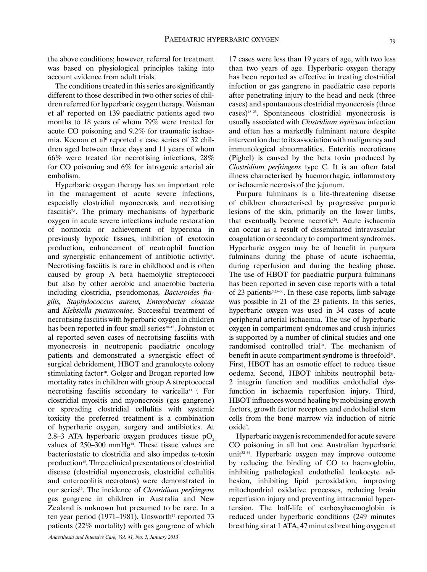the above conditions; however, referral for treatment was based on physiological principles taking into account evidence from adult trials.

The conditions treated in this series are significantly different to those described in two other series of children referred for hyperbaric oxygen therapy. Waisman et al<sup>5</sup> reported on 139 paediatric patients aged two months to 18 years of whom 79% were treated for acute CO poisoning and 9.2% for traumatic ischaemia. Keenan et al<sup>6</sup> reported a case series of 32 children aged between three days and 11 years of whom 66% were treated for necrotising infections, 28% for CO poisoning and 6% for iatrogenic arterial air embolism.

Hyperbaric oxygen therapy has an important role in the management of acute severe infections, especially clostridial myonecrosis and necrotising fasciitis7,8. The primary mechanisms of hyperbaric oxygen in acute severe infections include restoration of normoxia or achievement of hyperoxia in previously hypoxic tissues, inhibition of exotoxin production, enhancement of neutrophil function and synergistic enhancement of antibiotic activity<sup>9</sup>. Necrotising fasciitis is rare in childhood and is often caused by group A beta haemolytic streptococci but also by other aerobic and anaerobic bacteria including clostridia, pseudomonas*, Bacteroides fragilis, Staphylococcus aureus, Enterobacter cloacae* and *Klebsiella pneumoniae*. Successful treatment of necrotising fasciitis with hyperbaric oxygen in children has been reported in four small series<sup>10–13</sup>. Johnston et al reported seven cases of necrotising fasciitis with myonecrosis in neutropenic paediatric oncology patients and demonstrated a synergistic effect of surgical debridement, HBOT and granulocyte colony stimulating factor<sup>10</sup>. Golger and Brogan reported low mortality rates in children with group A streptococcal necrotising fasciitis secondary to varicella<sup>11,13</sup>. For clostridial myositis and myonecrosis (gas gangrene) or spreading clostridial cellulitis with systemic toxicity the preferred treatment is a combination of hyperbaric oxygen, surgery and antibiotics. At 2.8–3 ATA hyperbaric oxygen produces tissue  $pO<sub>2</sub>$ values of  $250-300$  mmHg<sup>14</sup>. These tissue values are bacteriostatic to clostridia and also impedes  $\alpha$ -toxin production<sup>15</sup>. Three clinical presentations of clostridial disease (clostridial myonecrosis, clostridial cellulitis and enterocolitis necrotans) were demonstrated in our series16. The incidence of *Clostridium perfringens* gas gangrene in children in Australia and New Zealand is unknown but presumed to be rare. In a ten year period (1971–1981), Unsworth<sup>17</sup> reported 73 patients (22% mortality) with gas gangrene of which

17 cases were less than 19 years of age, with two less than two years of age. Hyperbaric oxygen therapy has been reported as effective in treating clostridial infection or gas gangrene in paediatric case reports after penetrating injury to the head and neck (three cases) and spontaneous clostridial myonecrosis (three cases)18–23. Spontaneous clostridial myonecrosis is usually associated with *Clostridium septicum* infection and often has a markedly fulminant nature despite intervention due to its association with malignancy and immunological abnormalities. Enteritis necroticans (Pigbel) is caused by the beta toxin produced by *Clostridium perfringens* type C. It is an often fatal illness characterised by haemorrhagic, inflammatory or ischaemic necrosis of the jejunum.

Purpura fulminans is a life-threatening disease of children characterised by progressive purpuric lesions of the skin, primarily on the lower limbs, that eventually become necrotic<sup>24</sup>. Acute ischaemia can occur as a result of disseminated intravascular coagulation or secondary to compartment syndromes. Hyperbaric oxygen may be of benefit in purpura fulminans during the phase of acute ischaemia, during reperfusion and during the healing phase. The use of HBOT for paediatric purpura fulminans has been reported in seven case reports with a total of 23 patients5,25–30. In these case reports, limb salvage was possible in 21 of the 23 patients. In this series, hyperbaric oxygen was used in 34 cases of acute peripheral arterial ischaemia. The use of hyperbaric oxygen in compartment syndromes and crush injuries is supported by a number of clinical studies and one randomised controlled trial<sup>24</sup>. The mechanism of benefit in acute compartment syndrome is threefold<sup>31</sup>. First, HBOT has an osmotic effect to reduce tissue oedema. Second, HBOT inhibits neutrophil beta-2 integrin function and modifies endothelial dysfunction in ischaemia reperfusion injury. Third, HBOT influences wound healing by mobilising growth factors, growth factor receptors and endothelial stem cells from the bone marrow via induction of nitric oxide<sup>9</sup>.

Hyperbaric oxygen is recommended for acute severe CO poisoning in all but one Australian hyperbaric unit<sup>32-34</sup>. Hyperbaric oxygen may improve outcome by reducing the binding of CO to haemoglobin, inhibiting pathological endothelial leukocyte adhesion, inhibiting lipid peroxidation, improving mitochondrial oxidative processes, reducing brain reperfusion injury and preventing intracranial hypertension. The half-life of carboxyhaemoglobin is reduced under hyperbaric conditions (249 minutes breathing air at 1 ATA, 47 minutes breathing oxygen at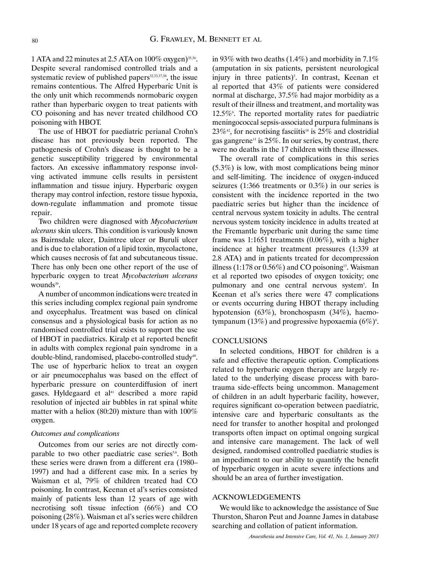1 ATA and 22 minutes at 2.5 ATA on  $100\%$  oxygen)<sup>35,36</sup>. Despite several randomised controlled trials and a systematic review of published papers $32,33,37,38$ , the issue remains contentious. The Alfred Hyperbaric Unit is the only unit which recommends normobaric oxygen rather than hyperbaric oxygen to treat patients with CO poisoning and has never treated childhood CO poisoning with HBOT.

The use of HBOT for paediatric perianal Crohn's disease has not previously been reported. The pathogenesis of Crohn's disease is thought to be a genetic susceptibility triggered by environmental factors. An excessive inflammatory response involving activated immune cells results in persistent inflammation and tissue injury. Hyperbaric oxygen therapy may control infection, restore tissue hypoxia, down-regulate inflammation and promote tissue repair.

Two children were diagnosed with *Mycobacterium ulcerans* skin ulcers. This condition is variously known as Bairnsdale ulcer, Daintree ulcer or Buruli ulcer and is due to elaboration of a lipid toxin, mycolactone, which causes necrosis of fat and subcutaneous tissue. There has only been one other report of the use of hyperbaric oxygen to treat *Mycobacterium ulcerans* wounds<sup>39</sup>.

A number of uncommon indications were treated in this series including complex regional pain syndrome and oxycephalus. Treatment was based on clinical consensus and a physiological basis for action as no randomised controlled trial exists to support the use of HBOT in paediatrics. Kiralp et al reported benefit in adults with complex regional pain syndrome in a double-blind, randomised, placebo-controlled study<sup>40</sup>. The use of hyperbaric heliox to treat an oxygen or air pneumocephalus was based on the effect of hyperbaric pressure on counterdiffusion of inert gases. Hyldegaard et al<sup>41</sup> described a more rapid resolution of injected air bubbles in rat spinal white matter with a heliox (80:20) mixture than with 100% oxygen.

#### *Outcomes and complications*

Outcomes from our series are not directly comparable to two other paediatric case series<sup>5,6</sup>. Both these series were drawn from a different era (1980– 1997) and had a different case mix. In a series by Waisman et al, 79% of children treated had CO poisoning. In contrast, Keenan et al's series consisted mainly of patients less than 12 years of age with necrotising soft tissue infection (66%) and CO poisoning (28%). Waisman et al's series were children under 18 years of age and reported complete recovery in 93% with two deaths (1.4%) and morbidity in  $7.1\%$ (amputation in six patients, persistent neurological injury in three patients)<sup>5</sup>. In contrast, Keenan et al reported that 43% of patients were considered normal at discharge, 37.5% had major morbidity as a result of their illness and treatment, and mortality was 12.5% The reported mortality rates for paediatric meningococcal sepsis-associated purpura fulminans is  $23\%$ <sup>42</sup>, for necrotising fasciitis<sup>18</sup> is  $25\%$  and clostridial gas gangrene<sup>11</sup> is 25%. In our series, by contrast, there were no deaths in the 17 children with these illnesses.

The overall rate of complications in this series (5.3%) is low, with most complications being minor and self-limiting. The incidence of oxygen-induced seizures (1:366 treatments or 0.3%) in our series is consistent with the incidence reported in the two paediatric series but higher than the incidence of central nervous system toxicity in adults. The central nervous system toxicity incidence in adults treated at the Fremantle hyperbaric unit during the same time frame was 1:1651 treatments (0.06%), with a higher incidence at higher treatment pressures (1:339 at 2.8 ATA) and in patients treated for decompression illness (1:178 or  $0.56\%$ ) and CO poisoning<sup>15</sup>. Waisman et al reported two episodes of oxygen toxicity; one pulmonary and one central nervous system<sup>5</sup>. In Keenan et al's series there were 47 complications or events occurring during HBOT therapy including hypotension (63%), bronchospasm (34%), haemotympanum (13%) and progressive hypoxaemia  $(6\%)^6$ .

## **CONCLUSIONS**

In selected conditions, HBOT for children is a safe and effective therapeutic option. Complications related to hyperbaric oxygen therapy are largely related to the underlying disease process with barotrauma side-effects being uncommon. Management of children in an adult hyperbaric facility, however, requires significant co-operation between paediatric, intensive care and hyperbaric consultants as the need for transfer to another hospital and prolonged transports often impact on optimal ongoing surgical and intensive care management. The lack of well designed, randomised controlled paediatric studies is an impediment to our ability to quantify the benefit of hyperbaric oxygen in acute severe infections and should be an area of further investigation.

# ACKNOWLEDGEMENTS

We would like to acknowledge the assistance of Sue Thurston, Sharon Peut and Joanne James in database searching and collation of patient information.